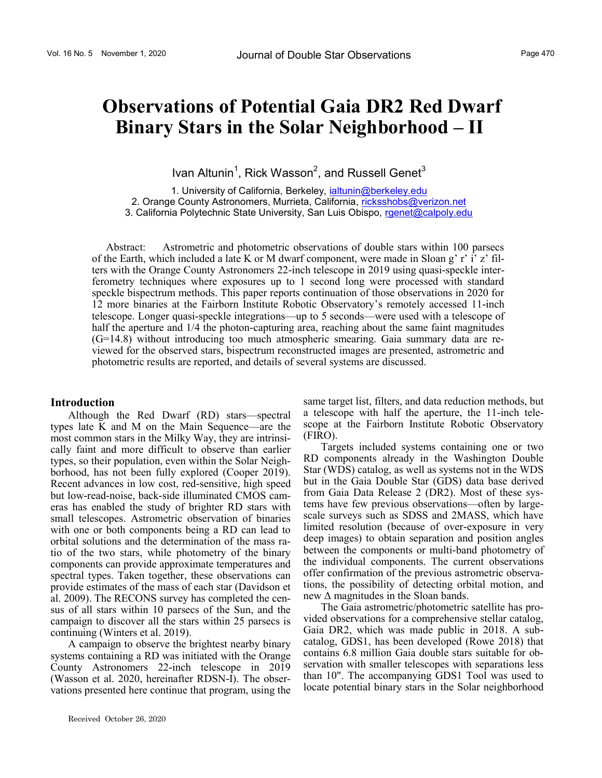Ivan Altunin<sup>1</sup>, Rick Wasson<sup>2</sup>, and Russell Genet<sup>3</sup>

1. University of California, Berkeley, ialtunin@berkeley.edu 2. Orange County Astronomers, Murrieta, California, ricksshobs@verizon.net 3. California Polytechnic State University, San Luis Obispo, rgenet@calpoly.edu

Abstract: Astrometric and photometric observations of double stars within 100 parsecs of the Earth, which included a late K or M dwarf component, were made in Sloan g' r' i' z' filters with the Orange County Astronomers 22-inch telescope in 2019 using quasi-speckle interferometry techniques where exposures up to 1 second long were processed with standard speckle bispectrum methods. This paper reports continuation of those observations in 2020 for 12 more binaries at the Fairborn Institute Robotic Observatory's remotely accessed 11-inch telescope. Longer quasi-speckle integrations—up to 5 seconds—were used with a telescope of half the aperture and  $1/4$  the photon-capturing area, reaching about the same faint magnitudes (G=14.8) without introducing too much atmospheric smearing. Gaia summary data are reviewed for the observed stars, bispectrum reconstructed images are presented, astrometric and photometric results are reported, and details of several systems are discussed.

### **Introduction**

Although the Red Dwarf (RD) stars—spectral types late K and M on the Main Sequence—are the most common stars in the Milky Way, they are intrinsically faint and more difficult to observe than earlier types, so their population, even within the Solar Neighborhood, has not been fully explored (Cooper 2019). Recent advances in low cost, red-sensitive, high speed but low-read-noise, back-side illuminated CMOS cameras has enabled the study of brighter RD stars with small telescopes. Astrometric observation of binaries with one or both components being a RD can lead to orbital solutions and the determination of the mass ratio of the two stars, while photometry of the binary components can provide approximate temperatures and spectral types. Taken together, these observations can provide estimates of the mass of each star (Davidson et al. 2009). The RECONS survey has completed the census of all stars within 10 parsecs of the Sun, and the campaign to discover all the stars within 25 parsecs is continuing (Winters et al. 2019).

A campaign to observe the brightest nearby binary systems containing a RD was initiated with the Orange County Astronomers 22-inch telescope in 2019 (Wasson et al. 2020, hereinafter RDSN-I). The observations presented here continue that program, using the

same target list, filters, and data reduction methods, but a telescope with half the aperture, the 11-inch telescope at the Fairborn Institute Robotic Observatory (FIRO).

Targets included systems containing one or two RD components already in the Washington Double Star (WDS) catalog, as well as systems not in the WDS but in the Gaia Double Star (GDS) data base derived from Gaia Data Release 2 (DR2). Most of these systems have few previous observations—often by largescale surveys such as SDSS and 2MASS, which have limited resolution (because of over-exposure in very deep images) to obtain separation and position angles between the components or multi-band photometry of the individual components. The current observations offer confirmation of the previous astrometric observations, the possibility of detecting orbital motion, and new  $\Delta$  magnitudes in the Sloan bands.

The Gaia astrometric/photometric satellite has provided observations for a comprehensive stellar catalog, Gaia DR2, which was made public in 2018. A subcatalog, GDS1, has been developed (Rowe 2018) that contains 6.8 million Gaia double stars suitable for observation with smaller telescopes with separations less than 10". The accompanying GDS1 Tool was used to locate potential binary stars in the Solar neighborhood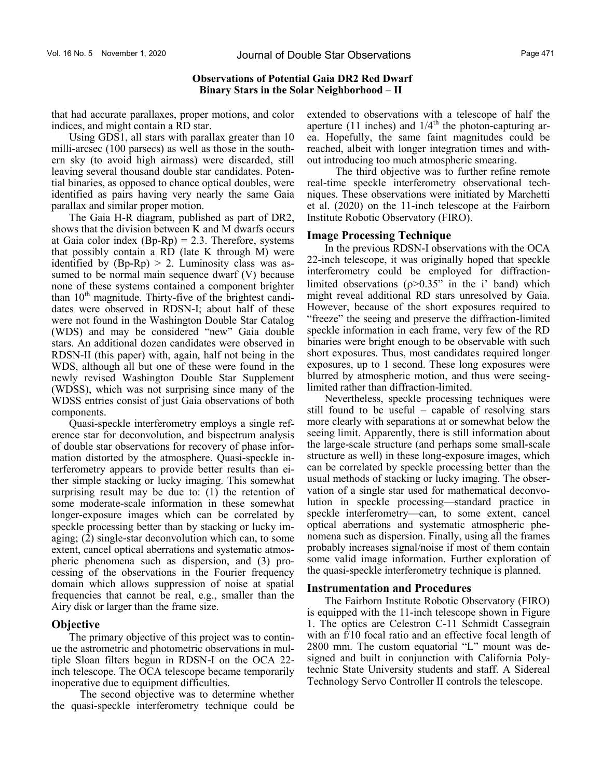that had accurate parallaxes, proper motions, and color indices, and might contain a RD star.

Using GDS1, all stars with parallax greater than 10 milli-arcsec (100 parsecs) as well as those in the southern sky (to avoid high airmass) were discarded, still leaving several thousand double star candidates. Potential binaries, as opposed to chance optical doubles, were identified as pairs having very nearly the same Gaia parallax and similar proper motion.

The Gaia H-R diagram, published as part of DR2, shows that the division between K and M dwarfs occurs at Gaia color index  $(Bp-Rp) = 2.3$ . Therefore, systems that possibly contain a RD (late K through M) were identified by  $(Bp-Rp) > 2$ . Luminosity class was assumed to be normal main sequence dwarf (V) because none of these systems contained a component brighter than  $10<sup>th</sup>$  magnitude. Thirty-five of the brightest candidates were observed in RDSN-I; about half of these were not found in the Washington Double Star Catalog (WDS) and may be considered "new" Gaia double stars. An additional dozen candidates were observed in RDSN-II (this paper) with, again, half not being in the WDS, although all but one of these were found in the newly revised Washington Double Star Supplement (WDSS), which was not surprising since many of the WDSS entries consist of just Gaia observations of both components.

Quasi-speckle interferometry employs a single reference star for deconvolution, and bispectrum analysis of double star observations for recovery of phase information distorted by the atmosphere. Quasi-speckle interferometry appears to provide better results than either simple stacking or lucky imaging. This somewhat surprising result may be due to: (1) the retention of some moderate-scale information in these somewhat longer-exposure images which can be correlated by speckle processing better than by stacking or lucky imaging; (2) single-star deconvolution which can, to some extent, cancel optical aberrations and systematic atmospheric phenomena such as dispersion, and (3) processing of the observations in the Fourier frequency domain which allows suppression of noise at spatial frequencies that cannot be real, e.g., smaller than the Airy disk or larger than the frame size.

# **Objective**

The primary objective of this project was to continue the astrometric and photometric observations in multiple Sloan filters begun in RDSN-I on the OCA 22 inch telescope. The OCA telescope became temporarily inoperative due to equipment difficulties.

The second objective was to determine whether the quasi-speckle interferometry technique could be extended to observations with a telescope of half the aperture (11 inches) and  $1/4<sup>th</sup>$  the photon-capturing area. Hopefully, the same faint magnitudes could be reached, albeit with longer integration times and without introducing too much atmospheric smearing.

The third objective was to further refine remote real-time speckle interferometry observational techniques. These observations were initiated by Marchetti et al. (2020) on the 11-inch telescope at the Fairborn Institute Robotic Observatory (FIRO).

### **Image Processing Technique**

In the previous RDSN-I observations with the OCA 22-inch telescope, it was originally hoped that speckle interferometry could be employed for diffractionlimited observations  $(p>0.35"$  in the i' band) which might reveal additional RD stars unresolved by Gaia. However, because of the short exposures required to "freeze" the seeing and preserve the diffraction-limited speckle information in each frame, very few of the RD binaries were bright enough to be observable with such short exposures. Thus, most candidates required longer exposures, up to 1 second. These long exposures were blurred by atmospheric motion, and thus were seeinglimited rather than diffraction-limited.

Nevertheless, speckle processing techniques were still found to be useful – capable of resolving stars more clearly with separations at or somewhat below the seeing limit. Apparently, there is still information about the large-scale structure (and perhaps some small-scale structure as well) in these long-exposure images, which can be correlated by speckle processing better than the usual methods of stacking or lucky imaging. The observation of a single star used for mathematical deconvolution in speckle processing—standard practice in speckle interferometry—can, to some extent, cancel optical aberrations and systematic atmospheric phenomena such as dispersion. Finally, using all the frames probably increases signal/noise if most of them contain some valid image information. Further exploration of the quasi-speckle interferometry technique is planned.

### **Instrumentation and Procedures**

The Fairborn Institute Robotic Observatory (FIRO) is equipped with the 11-inch telescope shown in Figure 1. The optics are Celestron C-11 Schmidt Cassegrain with an f/10 focal ratio and an effective focal length of 2800 mm. The custom equatorial "L" mount was designed and built in conjunction with California Polytechnic State University students and staff. A Sidereal Technology Servo Controller II controls the telescope.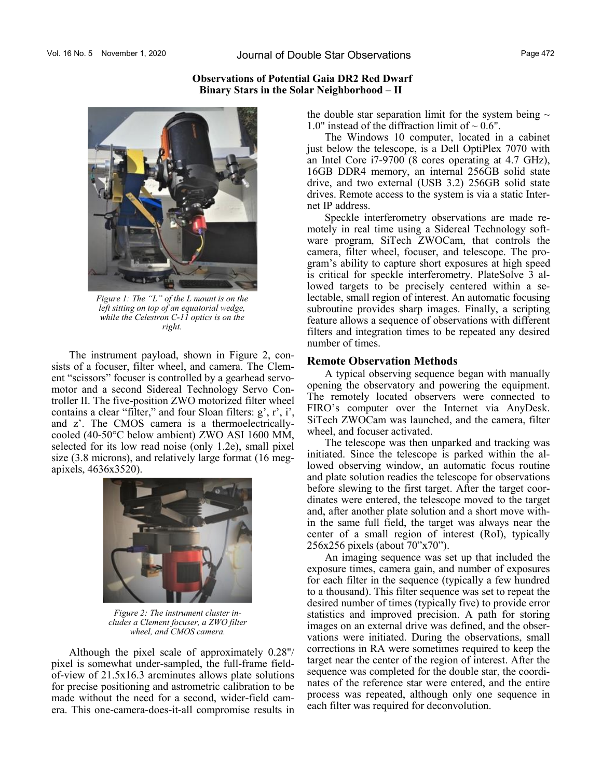## **Observations of Potential Gaia DR2 Red Dwarf Binary Stars in the Solar Neighborhood – II**



*Figure 1: The "L" of the L mount is on the left sitting on top of an equatorial wedge, while the Celestron C-11 optics is on the right.*

The instrument payload, shown in Figure 2, consists of a focuser, filter wheel, and camera. The Clement "scissors" focuser is controlled by a gearhead servomotor and a second Sidereal Technology Servo Controller II. The five-position ZWO motorized filter wheel contains a clear "filter," and four Sloan filters: g', r', i', and z'. The CMOS camera is a thermoelectricallycooled (40-50°C below ambient) ZWO ASI 1600 MM, selected for its low read noise (only 1.2e), small pixel size (3.8 microns), and relatively large format (16 megapixels, 4636x3520).



*Figure 2: The instrument cluster includes a Clement focuser, a ZWO filter wheel, and CMOS camera.* 

Although the pixel scale of approximately 0.28"/ pixel is somewhat under-sampled, the full-frame fieldof-view of 21.5x16.3 arcminutes allows plate solutions for precise positioning and astrometric calibration to be made without the need for a second, wider-field camera. This one-camera-does-it-all compromise results in the double star separation limit for the system being  $\sim$ 1.0" instead of the diffraction limit of  $\sim 0.6"$ .

The Windows 10 computer, located in a cabinet just below the telescope, is a Dell OptiPlex 7070 with an Intel Core i7-9700 (8 cores operating at 4.7 GHz), 16GB DDR4 memory, an internal 256GB solid state drive, and two external (USB 3.2) 256GB solid state drives. Remote access to the system is via a static Internet IP address.

Speckle interferometry observations are made remotely in real time using a Sidereal Technology software program, SiTech ZWOCam, that controls the camera, filter wheel, focuser, and telescope. The program's ability to capture short exposures at high speed is critical for speckle interferometry. PlateSolve 3 allowed targets to be precisely centered within a selectable, small region of interest. An automatic focusing subroutine provides sharp images. Finally, a scripting feature allows a sequence of observations with different filters and integration times to be repeated any desired number of times.

### **Remote Observation Methods**

A typical observing sequence began with manually opening the observatory and powering the equipment. The remotely located observers were connected to FIRO's computer over the Internet via AnyDesk. SiTech ZWOCam was launched, and the camera, filter wheel, and focuser activated.

The telescope was then unparked and tracking was initiated. Since the telescope is parked within the allowed observing window, an automatic focus routine and plate solution readies the telescope for observations before slewing to the first target. After the target coordinates were entered, the telescope moved to the target and, after another plate solution and a short move within the same full field, the target was always near the center of a small region of interest (RoI), typically 256x256 pixels (about 70"x70").

An imaging sequence was set up that included the exposure times, camera gain, and number of exposures for each filter in the sequence (typically a few hundred to a thousand). This filter sequence was set to repeat the desired number of times (typically five) to provide error statistics and improved precision. A path for storing images on an external drive was defined, and the observations were initiated. During the observations, small corrections in RA were sometimes required to keep the target near the center of the region of interest. After the sequence was completed for the double star, the coordinates of the reference star were entered, and the entire process was repeated, although only one sequence in each filter was required for deconvolution.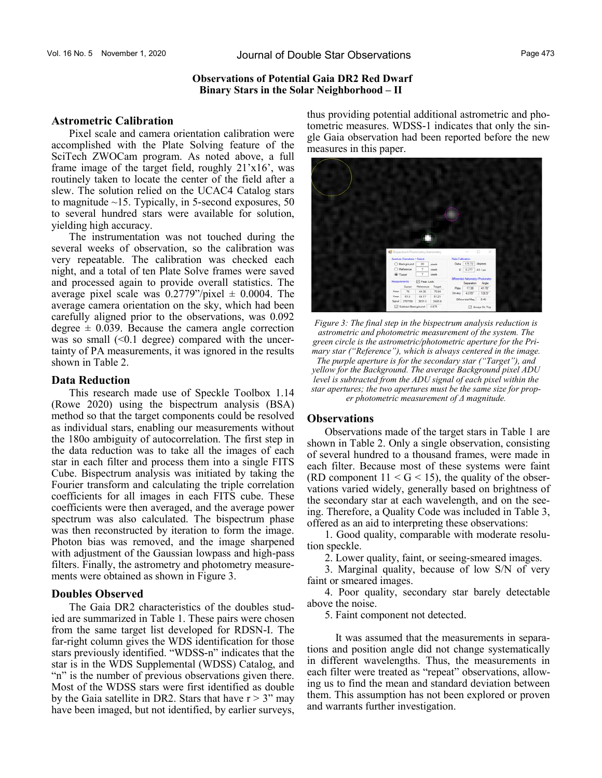## **Astrometric Calibration**

Pixel scale and camera orientation calibration were accomplished with the Plate Solving feature of the SciTech ZWOCam program. As noted above, a full frame image of the target field, roughly 21'x16', was routinely taken to locate the center of the field after a slew. The solution relied on the UCAC4 Catalog stars to magnitude  $~15$ . Typically, in 5-second exposures, 50 to several hundred stars were available for solution, yielding high accuracy.

The instrumentation was not touched during the several weeks of observation, so the calibration was very repeatable. The calibration was checked each night, and a total of ten Plate Solve frames were saved and processed again to provide overall statistics. The average pixel scale was  $0.2779$ "/pixel  $\pm$  0.0004. The average camera orientation on the sky, which had been carefully aligned prior to the observations, was 0.092 degree  $\pm$  0.039. Because the camera angle correction was so small  $(\leq 0.1$  degree) compared with the uncertainty of PA measurements, it was ignored in the results shown in Table 2.

## **Data Reduction**

This research made use of Speckle Toolbox 1.14 (Rowe 2020) using the bispectrum analysis (BSA) method so that the target components could be resolved as individual stars, enabling our measurements without the 180o ambiguity of autocorrelation. The first step in the data reduction was to take all the images of each star in each filter and process them into a single FITS Cube. Bispectrum analysis was initiated by taking the Fourier transform and calculating the triple correlation coefficients for all images in each FITS cube. These coefficients were then averaged, and the average power spectrum was also calculated. The bispectrum phase was then reconstructed by iteration to form the image. Photon bias was removed, and the image sharpened with adjustment of the Gaussian lowpass and high-pass filters. Finally, the astrometry and photometry measurements were obtained as shown in Figure 3.

# **Doubles Observed**

The Gaia DR2 characteristics of the doubles studied are summarized in Table 1. These pairs were chosen from the same target list developed for RDSN-I. The far-right column gives the WDS identification for those stars previously identified. "WDSS-n" indicates that the star is in the WDS Supplemental (WDSS) Catalog, and "n" is the number of previous observations given there. Most of the WDSS stars were first identified as double by the Gaia satellite in DR2. Stars that have  $r > 3$ " may have been imaged, but not identified, by earlier surveys, thus providing potential additional astrometric and photometric measures. WDSS-1 indicates that only the single Gaia observation had been reported before the new measures in this paper.



*Figure 3: The final step in the bispectrum analysis reduction is astrometric and photometric measurement of the system. The green circle is the astrometric/photometric aperture for the Primary star ("Reference"), which is always centered in the image. The purple aperture is for the secondary star ("Target"), and yellow for the Background. The average Background pixel ADU level is subtracted from the ADU signal of each pixel within the star apertures; the two apertures must be the same size for proper photometric measurement of Δ magnitude.* 

### **Observations**

Observations made of the target stars in Table 1 are shown in Table 2. Only a single observation, consisting of several hundred to a thousand frames, were made in each filter. Because most of these systems were faint (RD component  $11 < G < 15$ ), the quality of the observations varied widely, generally based on brightness of the secondary star at each wavelength, and on the seeing. Therefore, a Quality Code was included in Table 3, offered as an aid to interpreting these observations:

1. Good quality, comparable with moderate resolution speckle.

2. Lower quality, faint, or seeing-smeared images.

3. Marginal quality, because of low S/N of very faint or smeared images.

4. Poor quality, secondary star barely detectable above the noise.

5. Faint component not detected.

It was assumed that the measurements in separations and position angle did not change systematically in different wavelengths. Thus, the measurements in each filter were treated as "repeat" observations, allowing us to find the mean and standard deviation between them. This assumption has not been explored or proven and warrants further investigation.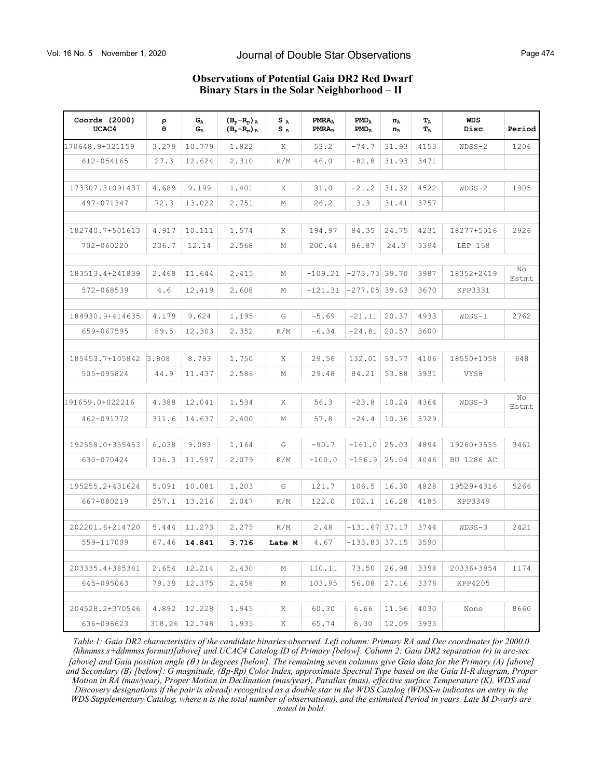| Coords $(2000)$<br>UCAC4 | ρ<br>$\theta$ | $G_A$<br>$G_B$ | $(B_p - R_p)$ <sub>A</sub><br>(В <sub>р</sub> -R <sub>р</sub> ) в | $S_A$<br>$S_B$ | PMRA <sub>A</sub><br>PMRA <sub>B</sub> | $PMD_A$<br>$PMD_B$ | $\Pi_A$<br>$\Pi_{\rm B}$ | $T_A$<br>$T_{\rm B}$ | <b>WDS</b><br>Disc | Period      |
|--------------------------|---------------|----------------|-------------------------------------------------------------------|----------------|----------------------------------------|--------------------|--------------------------|----------------------|--------------------|-------------|
| 170648.9+321159          | 3.279         | 10.779         | 1.822                                                             | Κ              | 53.2                                   | $-74.7$            | 31.93                    | 4153                 | $WDSS-2$           | 1206        |
| 612-054165               | 27.3          | 12.624         | 2.310                                                             | K/M            | 46.0                                   | $-82.8$            | 31.93                    | 3471                 |                    |             |
|                          |               |                |                                                                   |                |                                        |                    |                          |                      |                    |             |
| 173307.3+091437          | 4.689         | 9.199          | 1.401                                                             | Κ              | 31.0                                   | $-21.2$            | 31.32                    | 4522                 | $WDSS-2$           | 1905        |
| 497-071347               | 72.3          | 13.022         | 2.751                                                             | М              | 26.2                                   | 3.3                | 31.41                    | 3757                 |                    |             |
|                          |               |                |                                                                   |                |                                        |                    |                          |                      |                    |             |
| 182740.7+501613          | 4.917         | 10.111         | 1.574                                                             | Κ              | 194.97                                 | 84.35              | 24.75                    | 4231                 | 18277+5016         | 2926        |
| 702-060220               | 236.7         | 12.14          | 2.568                                                             | М              | 200.44                                 | 86.87              | 24.3                     | 3394                 | LEP 158            |             |
|                          |               |                |                                                                   |                |                                        |                    |                          |                      |                    |             |
| 183513.4+241839          | 2.468         | 11.644         | 2.415                                                             | М              | $-109.21$                              | $-273.73$ 39.70    |                          | 3987                 | 18352+2419         | No<br>Estmt |
| 572-068539               | 4.6           | 12.419         | 2.608                                                             | М              | $-121.31$                              | $-277.05$ 39.63    |                          | 3670                 | KPP3331            |             |
|                          |               |                |                                                                   |                |                                        |                    |                          |                      |                    |             |
| 184930.9+414635          | 4.179         | 9.624          | 1.195                                                             | G              | $-5.69$                                | $-21.11$           | 20.37                    | 4933                 | $WDSS-1$           | 2762        |
| 659-067595               | 89.5          | 12.303         | 2.352                                                             | K/M            | $-6.34$                                | $-24.81$           | 20.57                    | 3600                 |                    |             |
|                          |               |                |                                                                   |                |                                        |                    |                          |                      |                    |             |
| 185453.7+105842          | 3.808         | 8.793          | 1.750                                                             | Κ              | 29.56                                  | 132.01             | 53.77                    | 4106                 | 18550+1058         | 648         |
| 505-095824               | 44.9          | 11.437         | 2.586                                                             | М              | 29.48                                  | 84.21              | 53.88                    | 3931                 | VYS8               |             |
|                          |               |                |                                                                   |                |                                        |                    |                          |                      |                    |             |
| 191659.0+022216          | 4.388         | 12.041         | 1.534                                                             | Κ              | 56.3                                   | $-23.8$            | 10.24                    | 4364                 | $WDSS-3$           | No<br>Estmt |
| 462-091772               | 311.6         | 14.637         | 2,400                                                             | М              | 57.8                                   | $-24.4$            | 10.36                    | 3729                 |                    |             |
|                          |               |                |                                                                   |                |                                        |                    |                          |                      |                    |             |
| 192558.0+355453          | 6.038         | 9.083          | 1.164                                                             | G              | $-90.7$                                | $-161.0$           | 25.03                    | 4894                 | 19260+3555         | 3461        |
| 630-070424               | 106.3         | 11.597         | 2.079                                                             | K/M            | $-100.0$                               | $-156.9$           | 25.04                    | 4046                 | BU 1286 AC         |             |
|                          |               |                |                                                                   |                |                                        |                    |                          |                      |                    |             |
| 195255.2+431624          | 5.091         | 10.081         | 1,203                                                             | G              | 121.7                                  | 106.5              | 16.30                    | 4828                 | 19529+4316         | 5266        |
| 667-080219               | 257.1         | 13.216         | 2.047                                                             | K/M            | 122.0                                  | 102.1              | 16.28                    | 4185                 | KPP3349            |             |
|                          |               |                |                                                                   |                |                                        |                    |                          |                      |                    |             |
| 202201.6+214720          | 5.444         | 11.273         | 2.275                                                             | K/M            | 2.48                                   | $-131.67$          | 37.17                    | 3744                 | $WDSS-3$           | 2421        |
| 559-117009               | 67.46         | 14.841         | 3.716                                                             | Late M         | 4.67                                   | $-133.83$ 37.15    |                          | 3590                 |                    |             |
|                          |               |                |                                                                   |                |                                        |                    |                          |                      |                    |             |
| 203335.4+385341          | 2.654         | 12.214         | 2.430                                                             | М              | 110.11                                 | 73.50              | 26.98                    | 3398                 | 20336+3854         | 1174        |
| 645-095063               | 79.39         | 12.375         | 2.458                                                             | М              | 103.95                                 | 56.08              | 27.16                    | 3376                 | KPP4205            |             |
| 204528.2+370546          |               |                |                                                                   |                |                                        |                    |                          |                      |                    | 8660        |
|                          | 4.892         | 12.228         | 1.945                                                             | Κ              | 60.30                                  | 6.66               | 11.56                    | 4030                 | None               |             |
| 636-098623               | 318.26        | 12.748         | 1.935                                                             | Κ              | 65.74                                  | 8.30               | 12.09                    | 3933                 |                    |             |

*Table 1: Gaia DR2 characteristics of the candidate binaries observed. Left column: Primary RA and Dec coordinates for 2000.0 (hhmmss.s+ddmmss format)[above] and UCAC4 Catalog ID of Primary [below]. Column 2: Gaia DR2 separation (r) in arc-sec [above] and Gaia position angle ( ) in degrees [below]. The remaining seven columns give Gaia data for the Primary (A) [above] and Secondary (B) [below]: G magnitude, (Bp-Rp) Color Index, approximate Spectral Type based on the Gaia H-R diagram, Proper Motion in RA (mas/year), Proper Motion in Declination (mas/year), Parallax (mas), effective surface Temperature (K), WDS and Discovery designations if the pair is already recognized as a double star in the WDS Catalog (WDSS-n indicates an entry in the WDS Supplementary Catalog, where n is the total number of observations), and the estimated Period in years. Late M Dwarfs are noted in bold.*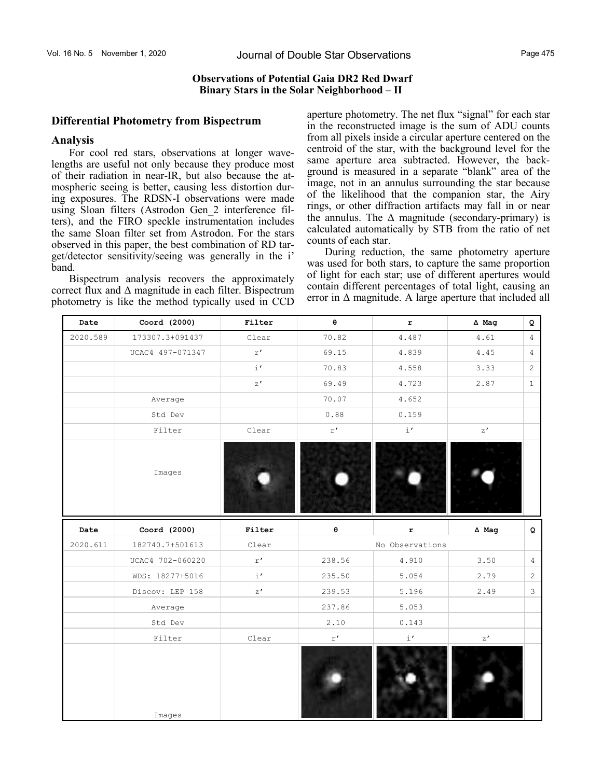### **Observations of Potential Gaia DR2 Red Dwarf Binary Stars in the Solar Neighborhood – II**

### **Differential Photometry from Bispectrum**

### **Analysis**

For cool red stars, observations at longer wavelengths are useful not only because they produce most of their radiation in near-IR, but also because the atmospheric seeing is better, causing less distortion during exposures. The RDSN-I observations were made using Sloan filters (Astrodon Gen\_2 interference filters), and the FIRO speckle instrumentation includes the same Sloan filter set from Astrodon. For the stars observed in this paper, the best combination of RD target/detector sensitivity/seeing was generally in the i' band.

Bispectrum analysis recovers the approximately correct flux and  $\Delta$  magnitude in each filter. Bispectrum photometry is like the method typically used in CCD aperture photometry. The net flux "signal" for each star in the reconstructed image is the sum of ADU counts from all pixels inside a circular aperture centered on the centroid of the star, with the background level for the same aperture area subtracted. However, the background is measured in a separate "blank" area of the image, not in an annulus surrounding the star because of the likelihood that the companion star, the Airy rings, or other diffraction artifacts may fall in or near the annulus. The  $\Delta$  magnitude (secondary-primary) is calculated automatically by STB from the ratio of net counts of each star.

During reduction, the same photometry aperture was used for both stars, to capture the same proportion of light for each star; use of different apertures would contain different percentages of total light, causing an error in  $\Delta$  magnitude. A large aperture that included all

| Date     | Coord (2000)     | Filter                  | $\theta$                | $\mathbf r$       | $\Delta$ Mag      | Q              |
|----------|------------------|-------------------------|-------------------------|-------------------|-------------------|----------------|
| 2020.589 | 173307.3+091437  | Clear                   | 70.82                   | 4.487             | 4.61              | $\overline{4}$ |
|          | UCAC4 497-071347 | $\mathtt{r}^{\,\prime}$ | 69.15                   | 4.839             | 4.45              | $\overline{4}$ |
|          |                  | $\pm$ $^{\prime}$       | 70.83                   | 4.558             | 3.33              | $\overline{c}$ |
|          |                  | z'                      | 69.49                   | 4.723             | 2.87              | $\mathbf{1}$   |
|          | Average          |                         | 70.07                   | 4.652             |                   |                |
|          | Std Dev          |                         | 0.88                    | 0.159             |                   |                |
|          | Filter           | Clear                   | $\mathtt{r}$ $\prime$   | $\pm$ $^{\prime}$ | $\rm{z}$ $\prime$ |                |
|          | Images           |                         |                         |                   |                   |                |
|          |                  |                         |                         |                   |                   |                |
| Date     | Coord (2000)     | Filter                  | $\pmb{\Theta}$          | $\mathbf r$       | $\Delta$ Mag      | $\mathsf Q$    |
| 2020.611 | 182740.7+501613  | Clear                   |                         | No Observations   |                   |                |
|          | UCAC4 702-060220 | $\mathtt{r}^{\,\prime}$ | 238.56                  | 4.910             | 3.50              | $\overline{4}$ |
|          | WDS: 18277+5016  | $\pm$ $^{\prime}$       | 235.50                  | 5.054             | 2.79              | 2              |
|          | Discov: LEP 158  | z'                      | 239.53                  | 5.196             | 2.49              | 3              |
|          | Average          |                         | 237.86                  | 5.053             |                   |                |
|          | Std Dev          |                         | 2.10                    | 0.143             |                   |                |
|          | Filter           | Clear                   | $\mathtt{r}^{\,\prime}$ | $\pm$ $^{\prime}$ | $\rm z$ $^\prime$ |                |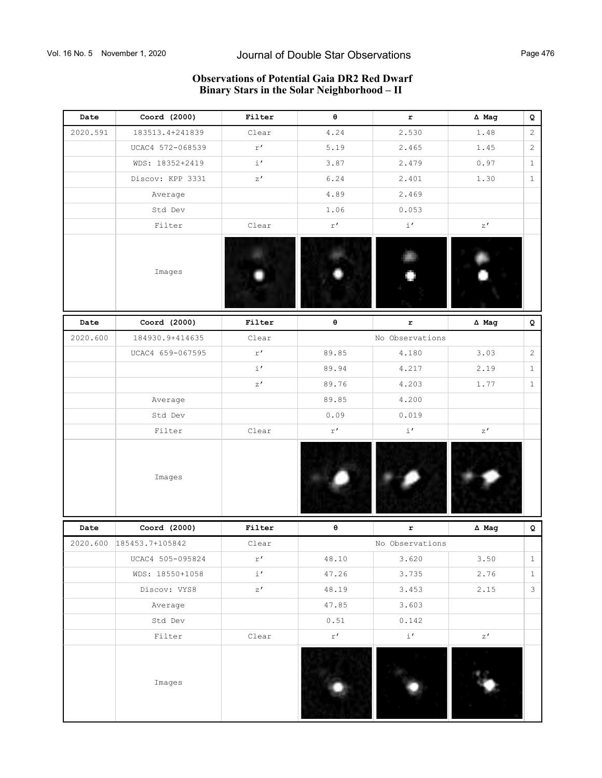# **Observations of Potential Gaia DR2 Red Dwarf Binary Stars in the Solar Neighborhood – II**

| Date     | Coord (2000)             | Filter                | θ                       | r                 | $\Delta$ Mag      | Q              |
|----------|--------------------------|-----------------------|-------------------------|-------------------|-------------------|----------------|
| 2020.591 | 183513.4+241839          | Clear                 | 4.24                    | 2.530             | 1.48              | 2              |
|          | UCAC4 572-068539         | $\mathtt{r}$ $\prime$ | 5.19                    | 2.465             | 1.45              | $\sqrt{2}$     |
|          | WDS: 18352+2419          | $i^{\prime}$          | 3.87                    | 2.479             | 0.97              | $\mathbf{1}$   |
|          | Discov: KPP 3331         | z'                    | 6.24                    | 2.401             | 1.30              | $\mathbf{1}$   |
|          | Average                  |                       | 4.89                    | 2.469             |                   |                |
|          | Std Dev                  |                       | 1.06                    | 0.053             |                   |                |
|          | Filter                   | Clear                 | $\mathtt{r}^{\,\prime}$ | $\pm$ $^{\prime}$ | $\rm{z}$ $\prime$ |                |
|          | Images                   |                       |                         |                   |                   |                |
| Date     | Coord (2000)             | Filter                | $\pmb{\Theta}$          | $\mathbf r$       | ∆ Mag             | Q              |
| 2020.600 | 184930.9+414635          | Clear                 |                         | No Observations   |                   |                |
|          | UCAC4 659-067595         | r'                    | 89.85                   | 4.180             | 3.03              | $\mathbf{2}$   |
|          |                          | $\pm$ $^{\prime}$     | 89.94                   | 4.217             | 2.19              | $\mathbf{1}$   |
|          |                          | z'                    | 89.76                   | 4.203             | 1.77              | $\mathbf{1}$   |
|          | Average                  |                       | 89.85                   | 4.200             |                   |                |
|          | Std Dev                  |                       | 0.09                    | 0.019             |                   |                |
|          | Filter                   | Clear                 | r'                      | $i^{\prime}$      | z'                |                |
|          | Images                   |                       |                         |                   |                   |                |
| Date     | Coord (2000)             | Filter                | $\pmb{\Theta}$          | $\mathbf r$       | $\Delta$ Mag      | Q              |
|          | 2020.600 185453.7+105842 | Clear                 |                         | No Observations   |                   |                |
|          | UCAC4 505-095824         | r'                    | 48.10                   | 3.620             | 3.50              | $\mathbf{1}$   |
|          | WDS: 18550+1058          | $\pm$ $^{\prime}$     | 47.26                   | 3.735             | 2.76              | $\mathbf{1}$   |
|          | Discov: VYS8             | z'                    | 48.19                   | 3.453             | 2.15              | $\mathfrak{Z}$ |
|          | Average                  |                       | 47.85                   | 3.603             |                   |                |
|          | Std Dev                  |                       | 0.51                    | 0.142             |                   |                |
|          | Filter                   | Clear                 | $\mathtt{r}^{\,\prime}$ | $i^{\prime}$      | z'                |                |
|          | Images                   |                       |                         |                   |                   |                |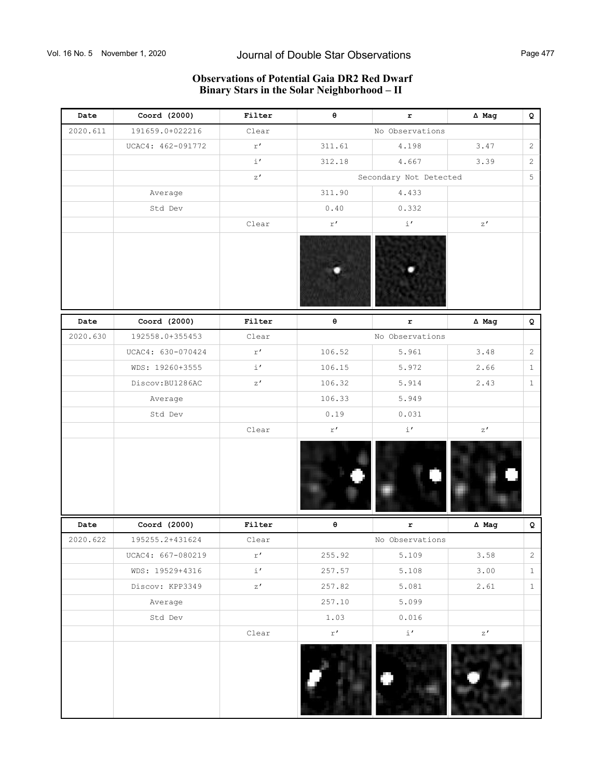## **Observations of Potential Gaia DR2 Red Dwarf Binary Stars in the Solar Neighborhood – II**

| Date     | Coord (2000)      | Filter                  | $\pmb{\Theta}$          | r                      | ∆ Mag        | Q              |
|----------|-------------------|-------------------------|-------------------------|------------------------|--------------|----------------|
| 2020.611 | 191659.0+022216   | Clear                   |                         | No Observations        |              |                |
|          | UCAC4: 462-091772 | $\mathtt{r}^{\,\prime}$ | 311.61                  | 4.198                  | 3.47         | $\overline{c}$ |
|          |                   | $\pm$ $^{\prime}$       | 312.18                  | 4.667                  | 3.39         | $\mathbf{2}$   |
|          |                   | z'                      |                         | Secondary Not Detected |              | 5              |
|          | Average           |                         | 311.90                  | 4.433                  |              |                |
|          | Std Dev           |                         | $0\,$ . $4\,0\,$        | 0.332                  |              |                |
|          |                   | Clear                   | $\mathtt{r}$ $\prime$   | $\pm$ $^{\prime}$      | z'           |                |
|          |                   |                         |                         |                        |              |                |
| Date     | Coord (2000)      | Filter                  | $\pmb{\Theta}$          | r                      | $\Delta$ Mag | Q              |
| 2020.630 | 192558.0+355453   | Clear                   |                         | No Observations        |              |                |
|          | UCAC4: 630-070424 | r'                      | 106.52                  | 5.961                  | 3.48         | $\overline{c}$ |
|          | WDS: 19260+3555   | $i^{\prime}$            | 106.15                  | 5.972                  | 2.66         | $1\,$          |
|          | Discov:BU1286AC   | z'                      | 106.32                  | 5.914                  | 2.43         | $1\,$          |
|          | Average           |                         | 106.33                  | 5.949                  |              |                |
|          | Std Dev           |                         | 0.19                    | 0.031                  |              |                |
|          |                   | Clear                   | $\mathtt{r}^{\,\prime}$ | $\pm$ $^{\prime}$      | z'           |                |
|          |                   |                         |                         |                        |              |                |
| Date     | Coord (2000)      | Filter                  | $\boldsymbol{\Theta}$   | $\mathbf r$            | $\Delta$ Mag | Q              |
| 2020.622 | 195255.2+431624   | Clear                   |                         | No Observations        |              |                |
|          | UCAC4: 667-080219 | r'                      | 255.92                  | 5.109                  | 3.58         | $\overline{c}$ |
|          | WDS: 19529+4316   | $\pm$ $^{\prime}$       | 257.57                  | 5.108                  | 3.00         | $\mathbf{1}$   |
|          | Discov: KPP3349   | z'                      | 257.82                  | 5.081                  | 2.61         | $\mathbf{1}$   |
|          | Average           |                         | 257.10                  | 5.099                  |              |                |
|          | Std Dev           |                         | 1.03                    | 0.016                  |              |                |
|          |                   | Clear                   | $\mathtt{r}^{\,\prime}$ | $\pm$ $^{\prime}$      | z'           |                |
|          |                   |                         |                         |                        |              |                |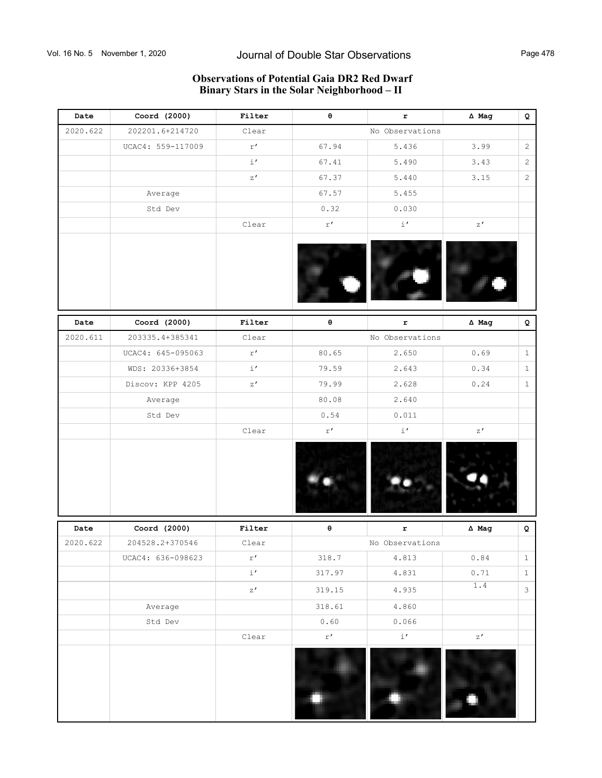## **Observations of Potential Gaia DR2 Red Dwarf Binary Stars in the Solar Neighborhood – II**

| Date     | Coord (2000)      | Filter              | $\pmb{\Theta}$          | $\mathbf r$       | $\Delta$ Mag                                                                                                                      | Q              |
|----------|-------------------|---------------------|-------------------------|-------------------|-----------------------------------------------------------------------------------------------------------------------------------|----------------|
| 2020.622 | 202201.6+214720   | Clear               |                         | No Observations   |                                                                                                                                   |                |
|          | UCAC4: 559-117009 | r'                  | 67.94                   | 5.436             | 3.99                                                                                                                              | $\overline{2}$ |
|          |                   | $\pm$ $^{\prime}$   | 67.41                   | 5.490             | 3.43                                                                                                                              | $\overline{c}$ |
|          |                   | z'                  | 67.37                   | 5.440             | 3.15                                                                                                                              | $\overline{c}$ |
|          | Average           |                     | 67.57                   | 5.455             |                                                                                                                                   |                |
|          | Std Dev           |                     | 0.32                    | 0.030             |                                                                                                                                   |                |
|          |                   | Clear               | $\mathtt{r}^{\,\prime}$ | $\pm$ $^{\prime}$ | z'                                                                                                                                |                |
|          |                   |                     |                         |                   |                                                                                                                                   |                |
| Date     | Coord (2000)      | Filter              | $\pmb{\Theta}$          | $\mathbf r$       | $\Delta$ Mag                                                                                                                      | Q              |
| 2020.611 | 203335.4+385341   | Clear               |                         | No Observations   |                                                                                                                                   |                |
|          | UCAC4: 645-095063 | r'                  | 80.65                   | 2.650             | 0.69                                                                                                                              | $\mathbf{1}$   |
|          | WDS: 20336+3854   | $i^{\prime}$        | 79.59                   | 2.643             | 0.34                                                                                                                              | $\mathbf{1}$   |
|          | Discov: KPP 4205  | z'                  | 79.99                   | 2.628             | 0.24                                                                                                                              | $\mathbf{1}$   |
|          | Average           |                     | 80.08                   | 2.640             |                                                                                                                                   |                |
|          | Std Dev           |                     | 0.54                    | 0.011             |                                                                                                                                   |                |
|          |                   | Clear               | $\mathtt{r}^{\,\prime}$ | $\pm$ $^{\prime}$ | z'                                                                                                                                |                |
|          |                   |                     |                         |                   |                                                                                                                                   |                |
| Date     | Coord (2000)      | Filter              | $\pmb{\Theta}$          | r                 | $\Delta$ Mag                                                                                                                      | Q              |
| 2020.622 | 204528.2+370546   | Clear               |                         | No Observations   |                                                                                                                                   |                |
|          | UCAC4: 636-098623 | $\mathtt{r}$ $'$    | 318.7                   | 4.813             | $\ensuremath{\textnormal{\textbf{0}}}\xspace$ . $\ensuremath{\textnormal{\textbf{8}}}\xspace\ensuremath{\textnormal{\textbf{4}}}$ | $\mathbf{1}$   |
|          |                   | $\pm$ $^{\prime}$   | 317.97                  | 4.831             | 0.71                                                                                                                              | $\,1$          |
|          |                   | $\rm z$ $^{\prime}$ | 319.15                  | 4.935             | $1.4\,$                                                                                                                           | $\mathcal{S}$  |
|          | Average           |                     | 318.61                  | 4.860             |                                                                                                                                   |                |
|          | Std Dev           |                     | 0.60                    | 0.066             |                                                                                                                                   |                |
|          |                   | Clear               | $\mathtt{r}^{\,\prime}$ | $\pm\prime$       | z'                                                                                                                                |                |
|          |                   |                     |                         |                   |                                                                                                                                   |                |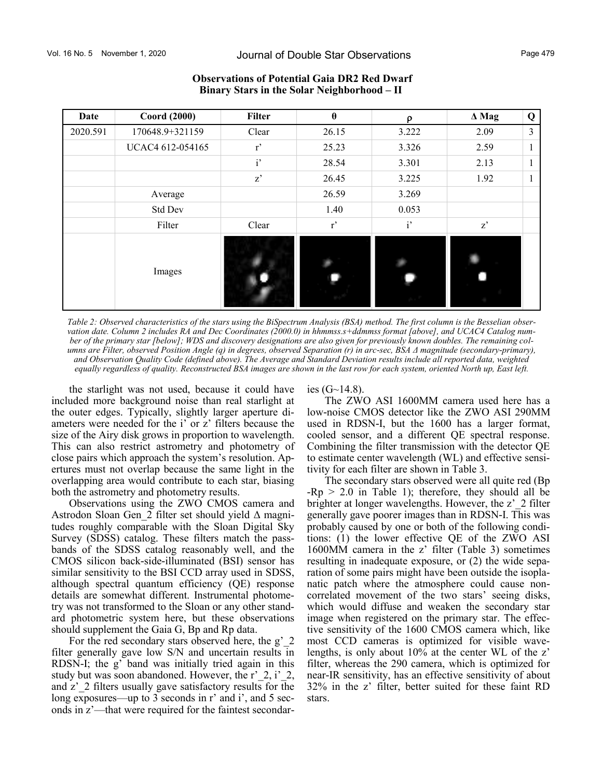| Date     | <b>Coord (2000)</b> | <b>Filter</b> | $\theta$ | ρ     | $\Delta$ Mag | Q  |
|----------|---------------------|---------------|----------|-------|--------------|----|
| 2020.591 | 170648.9+321159     | Clear         | 26.15    | 3.222 | 2.09         | 3  |
|          | UCAC4 612-054165    | r             | 25.23    | 3.326 | 2.59         | л. |
|          |                     | $i'$          | 28.54    | 3.301 | 2.13         |    |
|          |                     | z'            | 26.45    | 3.225 | 1.92         |    |
|          | Average             |               | 26.59    | 3.269 |              |    |
|          | Std Dev             |               | 1.40     | 0.053 |              |    |
|          | Filter              | Clear         | r'       | i'    | $z^*$        |    |
|          | Images              |               |          |       |              |    |

### **Observations of Potential Gaia DR2 Red Dwarf Binary Stars in the Solar Neighborhood – II**

*Table 2: Observed characteristics of the stars using the BiSpectrum Analysis (BSA) method. The first column is the Besselian observation date. Column 2 includes RA and Dec Coordinates (2000.0) in hhmmss.s+ddmmss format [above], and UCAC4 Catalog number of the primary star [below]; WDS and discovery designations are also given for previously known doubles. The remaining columns are Filter, observed Position Angle (q) in degrees, observed Separation (r) in arc-sec, BSA Δ magnitude (secondary-primary), and Observation Quality Code (defined above). The Average and Standard Deviation results include all reported data, weighted equally regardless of quality. Reconstructed BSA images are shown in the last row for each system, oriented North up, East left.*

the starlight was not used, because it could have included more background noise than real starlight at the outer edges. Typically, slightly larger aperture diameters were needed for the i' or z' filters because the size of the Airy disk grows in proportion to wavelength. This can also restrict astrometry and photometry of close pairs which approach the system's resolution. Apertures must not overlap because the same light in the overlapping area would contribute to each star, biasing both the astrometry and photometry results.

Observations using the ZWO CMOS camera and Astrodon Sloan Gen\_2 filter set should yield Δ magnitudes roughly comparable with the Sloan Digital Sky Survey (SDSS) catalog. These filters match the passbands of the SDSS catalog reasonably well, and the CMOS silicon back-side-illuminated (BSI) sensor has similar sensitivity to the BSI CCD array used in SDSS, although spectral quantum efficiency (QE) response details are somewhat different. Instrumental photometry was not transformed to the Sloan or any other standard photometric system here, but these observations should supplement the Gaia G, Bp and Rp data.

For the red secondary stars observed here, the g' 2 filter generally gave low S/N and uncertain results in RDSN-I; the g' band was initially tried again in this study but was soon abandoned. However, the r'\_2, i'\_2, and z' 2 filters usually gave satisfactory results for the long exposures—up to 3 seconds in r' and i', and 5 seconds in z'—that were required for the faintest secondaries  $(G~14.8)$ .

The ZWO ASI 1600MM camera used here has a low-noise CMOS detector like the ZWO ASI 290MM used in RDSN-I, but the 1600 has a larger format, cooled sensor, and a different QE spectral response. Combining the filter transmission with the detector QE to estimate center wavelength (WL) and effective sensitivity for each filter are shown in Table 3.

The secondary stars observed were all quite red (Bp  $-Rp > 2.0$  in Table 1); therefore, they should all be brighter at longer wavelengths. However, the z'\_2 filter generally gave poorer images than in RDSN-I. This was probably caused by one or both of the following conditions: (1) the lower effective QE of the ZWO ASI 1600MM camera in the z' filter (Table 3) sometimes resulting in inadequate exposure, or (2) the wide separation of some pairs might have been outside the isoplanatic patch where the atmosphere could cause noncorrelated movement of the two stars' seeing disks, which would diffuse and weaken the secondary star image when registered on the primary star. The effective sensitivity of the 1600 CMOS camera which, like most CCD cameras is optimized for visible wavelengths, is only about 10% at the center WL of the z' filter, whereas the 290 camera, which is optimized for near-IR sensitivity, has an effective sensitivity of about 32% in the z' filter, better suited for these faint RD stars.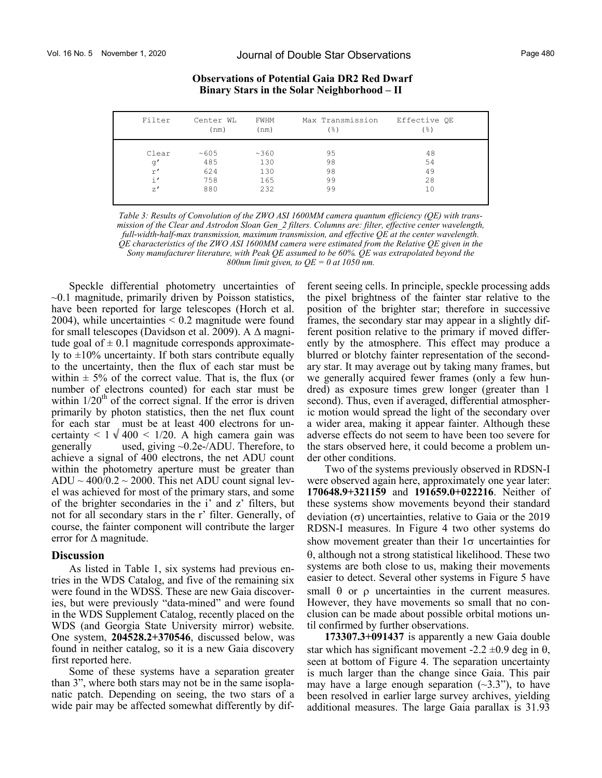| Filter        | Center WL<br>(nm) | FWHM<br>(nm) | Max Transmission<br>(응) | Effective OE<br>$($ %) |
|---------------|-------------------|--------------|-------------------------|------------------------|
| Clear         | ~105              | ~360         | 95                      | 48                     |
| q'            | 485               | 130          | 98                      | 54                     |
| r'            | 624               | 130          | 98                      | 49                     |
| $\frac{1}{1}$ | 758               | 165          | 99                      | 28                     |
| $Z^{\prime}$  | 880               | 232          | 99                      | 10                     |
|               |                   |              |                         |                        |

*Table 3: Results of Convolution of the ZWO ASI 1600MM camera quantum efficiency (QE) with transmission of the Clear and Astrodon Sloan Gen\_2 filters. Columns are: filter, effective center wavelength, full-width-half-max transmission, maximum transmission, and effective QE at the center wavelength. QE characteristics of the ZWO ASI 1600MM camera were estimated from the Relative QE given in the Sony manufacturer literature, with Peak QE assumed to be 60%. QE was extrapolated beyond the 800nm limit given, to QE = 0 at 1050 nm.* 

Speckle differential photometry uncertainties of  $\sim$ 0.1 magnitude, primarily driven by Poisson statistics, have been reported for large telescopes (Horch et al. 2004), while uncertainties  $\leq 0.2$  magnitude were found for small telescopes (Davidson et al. 2009). A  $\Delta$  magnitude goal of  $\pm$  0.1 magnitude corresponds approximately to  $\pm 10\%$  uncertainty. If both stars contribute equally to the uncertainty, then the flux of each star must be within  $\pm$  5% of the correct value. That is, the flux (or number of electrons counted) for each star must be within  $1/20<sup>th</sup>$  of the correct signal. If the error is driven primarily by photon statistics, then the net flux count for each star must be at least 400 electrons for uncertainty <  $1 \sqrt{400}$  <  $1/20$ . A high camera gain was generally used, giving ~0.2e-/ADU. Therefore, to achieve a signal of 400 electrons, the net ADU count within the photometry aperture must be greater than  $ADU \sim 400/0.2 \sim 2000$ . This net ADU count signal level was achieved for most of the primary stars, and some of the brighter secondaries in the i' and z' filters, but not for all secondary stars in the r' filter. Generally, of course, the fainter component will contribute the larger error for  $\Delta$  magnitude.

### **Discussion**

As listed in Table 1, six systems had previous entries in the WDS Catalog, and five of the remaining six were found in the WDSS. These are new Gaia discoveries, but were previously "data-mined" and were found in the WDS Supplement Catalog, recently placed on the WDS (and Georgia State University mirror) website. One system, **204528.2+370546**, discussed below, was found in neither catalog, so it is a new Gaia discovery first reported here.

Some of these systems have a separation greater than 3", where both stars may not be in the same isoplanatic patch. Depending on seeing, the two stars of a wide pair may be affected somewhat differently by different seeing cells. In principle, speckle processing adds the pixel brightness of the fainter star relative to the position of the brighter star; therefore in successive frames, the secondary star may appear in a slightly different position relative to the primary if moved differently by the atmosphere. This effect may produce a blurred or blotchy fainter representation of the secondary star. It may average out by taking many frames, but we generally acquired fewer frames (only a few hundred) as exposure times grew longer (greater than 1 second). Thus, even if averaged, differential atmospheric motion would spread the light of the secondary over a wider area, making it appear fainter. Although these adverse effects do not seem to have been too severe for the stars observed here, it could become a problem under other conditions.

Two of the systems previously observed in RDSN-I were observed again here, approximately one year later: **170648.9+321159** and **191659.0+022216**. Neither of these systems show movements beyond their standard deviation  $(\sigma)$  uncertainties, relative to Gaia or the 2019 RDSN-I measures. In Figure 4 two other systems do show movement greater than their  $1\sigma$  uncertainties for , although not a strong statistical likelihood. These two systems are both close to us, making their movements easier to detect. Several other systems in Figure 5 have small  $\theta$  or  $\rho$  uncertainties in the current measures. However, they have movements so small that no conclusion can be made about possible orbital motions until confirmed by further observations.

**173307.3+091437** is apparently a new Gaia double star which has significant movement -2.2  $\pm$ 0.9 deg in  $\theta$ , seen at bottom of Figure 4. The separation uncertainty is much larger than the change since Gaia. This pair may have a large enough separation  $(\sim 3.3"')$ , to have been resolved in earlier large survey archives, yielding additional measures. The large Gaia parallax is 31.93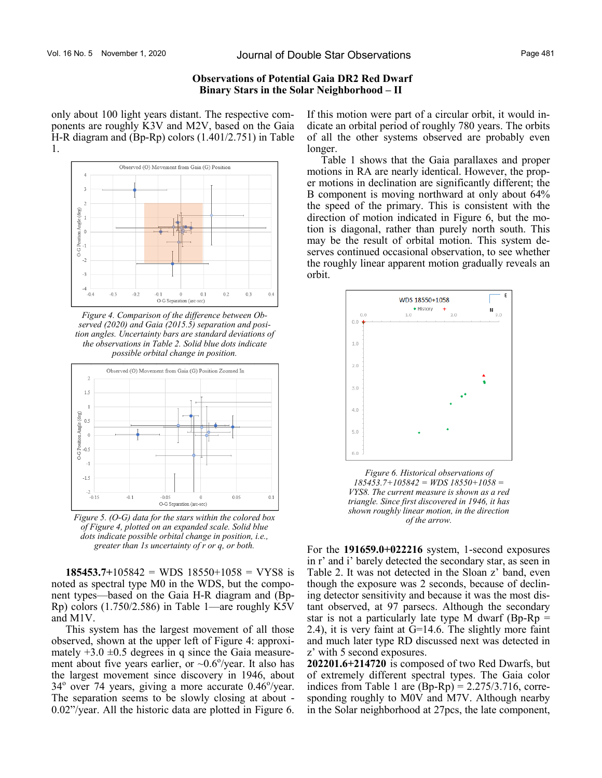only about 100 light years distant. The respective components are roughly K3V and M2V, based on the Gaia H-R diagram and (Bp-Rp) colors (1.401/2.751) in Table 1.



*Figure 4. Comparison of the difference between Observed (2020) and Gaia (2015.5) separation and position angles. Uncertainty bars are standard deviations of the observations in Table 2. Solid blue dots indicate possible orbital change in position.* 



*Figure 5. (O-G) data for the stars within the colored box of Figure 4, plotted on an expanded scale. Solid blue dots indicate possible orbital change in position, i.e., greater than 1s uncertainty of r or q, or both.* 

**185453.7+**105842 = WDS 18550+1058 = VYS8 is noted as spectral type M0 in the WDS, but the component types—based on the Gaia H-R diagram and (Bp-Rp) colors (1.750/2.586) in Table 1—are roughly K5V and M1V.

This system has the largest movement of all those observed, shown at the upper left of Figure 4: approximately  $+3.0 \pm 0.5$  degrees in q since the Gaia measurement about five years earlier, or  $\sim 0.6^{\circ}/year$ . It also has the largest movement since discovery in 1946, about  $34^{\circ}$  over 74 years, giving a more accurate 0.46 $^{\circ}$ /year. The separation seems to be slowly closing at about - 0.02"/year. All the historic data are plotted in Figure 6.

If this motion were part of a circular orbit, it would indicate an orbital period of roughly 780 years. The orbits of all the other systems observed are probably even longer.

Table 1 shows that the Gaia parallaxes and proper motions in RA are nearly identical. However, the proper motions in declination are significantly different; the B component is moving northward at only about 64% the speed of the primary. This is consistent with the direction of motion indicated in Figure 6, but the motion is diagonal, rather than purely north south. This may be the result of orbital motion. This system deserves continued occasional observation, to see whether the roughly linear apparent motion gradually reveals an orbit.



*Figure 6. Historical observations of 185453.7+105842 = WDS 18550+1058 = VYS8. The current measure is shown as a red triangle. Since first discovered in 1946, it has shown roughly linear motion, in the direction of the arrow.*

For the **191659.0+022216** system, 1-second exposures in r' and i' barely detected the secondary star, as seen in Table 2. It was not detected in the Sloan z' band, even though the exposure was 2 seconds, because of declining detector sensitivity and because it was the most distant observed, at 97 parsecs. Although the secondary star is not a particularly late type M dwarf (Bp-Rp  $=$ 2.4), it is very faint at G=14.6. The slightly more faint and much later type RD discussed next was detected in z' with 5 second exposures.

**202201.6+214720** is composed of two Red Dwarfs, but of extremely different spectral types. The Gaia color indices from Table 1 are  $(Bp-Rp) = 2.275/3.716$ , corresponding roughly to M0V and M7V. Although nearby in the Solar neighborhood at 27pcs, the late component,